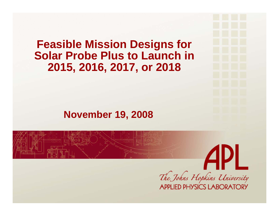#### **Feasible Mission Designs for Solar Probe Plus to Launch in 2015, 2016, 2017, or 2018**

#### **November 19, 2008**

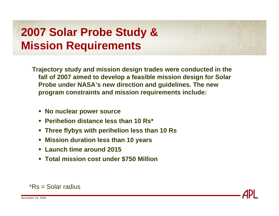#### **2007 Solar Probe Study & Mission Requirements**

**Trajectory study and mission design trades were conducted in the fall of 2007 aimed to develop a feasible mission design for Solar Probe under NASA's new direction and guidelines. The new program constraints and mission requirements include:**

- **No nuclear power source**
- **Perihelion distance less than 10 Rs\***
- $\mathcal{L}_{\mathcal{A}}$ **Three flybys with perihelion less than 10 Rs**
- П **Mission duration less than 10 years**
- $\mathcal{L}_{\mathcal{A}}$ **Launch time around 2015**
- **Total mission cost under \$750 Million**



\*Rs = Solar radius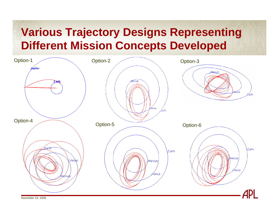#### **Various Trajectory Designs Representing Different Mission Concepts Developed**

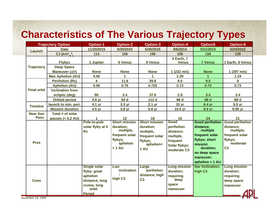#### **Characteristics of The Various Trajectory Types**

| <b>Trajectory Option</b> |                                         | <b>Option-1</b>                                                                                             | <b>Option-2</b>                                                                                   | <b>Option-3</b>                                                                                  | <b>Option-4</b>                                                                          | <b>Option5</b>                                                                                                                                              | <b>Option-6</b>                                                                                             |
|--------------------------|-----------------------------------------|-------------------------------------------------------------------------------------------------------------|---------------------------------------------------------------------------------------------------|--------------------------------------------------------------------------------------------------|------------------------------------------------------------------------------------------|-------------------------------------------------------------------------------------------------------------------------------------------------------------|-------------------------------------------------------------------------------------------------------------|
| Launch                   | <b>Date</b>                             | 11/20/2015                                                                                                  | 5/30/2015                                                                                         | 5/30/2015                                                                                        | 9/6/2014                                                                                 | 5/21/2015                                                                                                                                                   | 5/24/2015                                                                                                   |
|                          | $C3$ (km <sup>2</sup> /s <sup>2</sup> ) | 114                                                                                                         | 156                                                                                               | 156                                                                                              | 108                                                                                      | 158                                                                                                                                                         | 128                                                                                                         |
| <b>Trajectory</b>        | <b>Flybys</b><br><b>Deep Space</b>      | 1 Jupiter                                                                                                   | 5 Venus                                                                                           | 9 Venus                                                                                          | 3 Earth, 7<br><b>Venus</b>                                                               | <b>7 Venus</b>                                                                                                                                              | 1 Earth, 9 Venus                                                                                            |
|                          | Maneuver (AV)                           | <b>None</b>                                                                                                 | <b>None</b>                                                                                       | <b>None</b>                                                                                      | 1(232 m/s)                                                                               | <b>None</b>                                                                                                                                                 | 1(397 m/s)                                                                                                  |
|                          | <b>Max Aphelion (AU)</b>                | 5.56                                                                                                        | 1                                                                                                 | 1                                                                                                | 2.29                                                                                     | 1                                                                                                                                                           | 1.19                                                                                                        |
|                          | <b>Perihelion (Rs)</b>                  | 4                                                                                                           | 11.8                                                                                              | 39.8                                                                                             | 9.5                                                                                      | 9.5                                                                                                                                                         | 9                                                                                                           |
|                          | <b>Aphelion (AU)</b>                    | 5.56                                                                                                        | 0.75                                                                                              | 0.725                                                                                            | 0.73                                                                                     | 0.73                                                                                                                                                        | 0.73                                                                                                        |
| <b>Final orbit</b>       | <b>Inclination from</b>                 |                                                                                                             |                                                                                                   |                                                                                                  |                                                                                          |                                                                                                                                                             |                                                                                                             |
|                          | ecliptic (deg)                          | 90                                                                                                          | 3.4                                                                                               | 37.9                                                                                             | 2.9                                                                                      | 3.4                                                                                                                                                         | 3.4                                                                                                         |
|                          | <b>Orbital period</b>                   | $4.6$ yr                                                                                                    | 94 d                                                                                              | 112 d                                                                                            | 88 d                                                                                     | 88 d                                                                                                                                                        | 88 d                                                                                                        |
| <b>Timeline</b>          | launch to min. peri.                    | 4.1 yr                                                                                                      | 3.3 <sub>yr</sub>                                                                                 | 2.1 <sub>yr</sub>                                                                                | 10 <sub>yr</sub>                                                                         | 6.4 yr                                                                                                                                                      | 9.5 <sub>yr</sub>                                                                                           |
|                          | <b>Mission duration</b>                 | 4.5 yr                                                                                                      | 3.8 yr                                                                                            | 5.8 yr                                                                                           | 10.5 yr                                                                                  | 6.9 yr                                                                                                                                                      | 9.95 yr                                                                                                     |
| <b>Near Sun</b>          | Total # of solar                        |                                                                                                             |                                                                                                   |                                                                                                  |                                                                                          |                                                                                                                                                             |                                                                                                             |
| <b>Pass</b>              | passes $(0.2 AU)$                       |                                                                                                             | 12                                                                                                | 18                                                                                               | 16                                                                                       | 24                                                                                                                                                          | 21                                                                                                          |
| <b>Pros</b>              |                                         | Pole-to-pole<br>solar flyby at 4<br><b>Rs</b>                                                               | <b>Short mission</b><br>duration;<br>multiple,<br>frequent solar<br>flybys;<br>aphelion<br>< 1 AU | <b>Short mission</b><br>duration;<br>multiple,<br>frequent solar<br>flybys;<br>aphelion<<br>1 AU | Good<br>perihelion<br>distance;<br>multiple,<br>frequent<br>Solar flybys;<br>moderate C3 | <b>Good perihelion</b><br>distance;<br>multiple<br>frequent solar<br>flybys; short<br>mission<br>duration;<br>no deep space<br>maneuver;<br>aphelion < 1 AU | <b>Good perihelion</b><br>distance;<br>multiple,<br>frequent solar<br>flybys;<br>moderate<br>C <sub>3</sub> |
| <b>Cons</b>              |                                         | <b>Single solar</b><br>flyby; great<br>aphelion<br>distance; long<br>cruise; long<br>orbit<br><b>Period</b> | Low<br>inclination<br>high C <sub>3</sub>                                                         | Large<br>perihelion<br>distance; high<br>C <sub>3</sub>                                          | <b>Long mission</b><br>duration;<br>requiring<br>deep<br>space<br>maneuver               | low inclination;<br>high C <sub>3</sub>                                                                                                                     | <b>Long mission</b><br>duration;<br>requiring<br>deep space<br>maneuver                                     |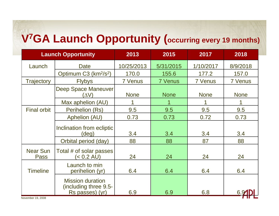# **V7GA Launch Opportunity (occurring every 19 months)**

| <b>Launch Opportunity</b> |                                                                     | 2013           | 2015           | 2017           | 2018           |
|---------------------------|---------------------------------------------------------------------|----------------|----------------|----------------|----------------|
| Launch                    | <b>Date</b>                                                         | 10/25/2013     | 5/31/2015      | 1/10/2017      | 8/9/2018       |
|                           | Optimum C3 (km <sup>2</sup> /s <sup>2</sup> )                       | 170.0          | 155.6          | 177.2          | 157.0          |
| Trajectory                | <b>Flybys</b>                                                       | <b>7 Venus</b> | <b>7 Venus</b> | <b>7 Venus</b> | <b>7 Venus</b> |
|                           | <b>Deep Space Maneuver</b><br>$(\wedge \vee)$                       | <b>None</b>    | <b>None</b>    | <b>None</b>    | <b>None</b>    |
|                           | Max aphelion (AU)                                                   |                | 1              |                |                |
| <b>Final orbit</b>        | Perihelion (Rs)                                                     | 9.5            | 9.5            | 9.5            | 9.5            |
|                           | Aphelion (AU)                                                       | 0.73           | 0.73           | 0.72           | 0.73           |
|                           | Inclination from ecliptic<br>$(\text{deg})$                         | 3.4            | 3.4            | 3.4            | 3.4            |
|                           | Orbital period (day)                                                | 88             | 88             | 87             | 88             |
| <b>Near Sun</b><br>Pass   | Total # of solar passes<br>$< 0.2$ AU)                              | 24             | 24             | 24             | 24             |
| <b>Timeline</b>           | Launch to min<br>perihelion (yr)                                    | 6.4            | 6.4            | 6.4            | 6.4            |
|                           | <b>Mission duration</b><br>(including three 9.5-<br>Rs passes) (yr) | 6.9            | 6.9            | 6.8            | 6.9            |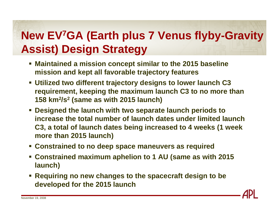#### **New EV7GA (Earth plus 7 Venus flyby-Gravity Assist) Design Strategy**

- **Maintained a mission concept similar to the 2015 baseline mission and kept all favorable trajectory features**
- **Utilized two different trajectory designs to lower launch C3 requirement, keeping the maximum launch C3 to no more than 158 km2/s2 (same as with 2015 launch)**
- **Designed the launch with two separate launch periods to increase the total number of launch dates under limited launch C3, a total of launch dates being increased to 4 weeks (1 week more than 2015 launch)**
- **Constrained to no deep space maneuvers as required**
- **Constrained maximum aphelion to 1 AU (same as with 2015 launch)**
- **Requiring no new changes to the spacecraft design to be developed for the 2015 launch**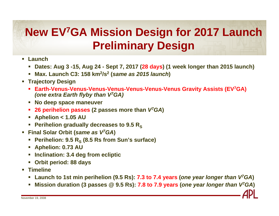# **New EV7GA Mission Design for 2017 Launch Preliminary Design**

- **Launch**
	- **Dates: Aug 3 -15, Aug 24 - Sept 7, 2017 (28 days) (1 week longer than 2015 launch)**
	- Ш **Max. Launch C3: 158 km2/s2 (***same as 2015 launch***)**
- **Trajectory Design**
	- **Earth-Venus-Venus-Venus-Venus-Venus-Venus-Venus Gravity Assists (EV7GA)** *(one extra Earth flyby than V7GA)*
	- **No deep space maneuver**
	- п **26 perihelion passes (2 passes more than** *V7GA***)**
	- $\mathcal{L}_{\mathcal{A}}$ **Aphelion < 1.05 AU**
	- **Perihelion gradually decreases to 9.5 R<sub>s</sub>**
- **Final Solar Orbit (***same as V7GA***)**
	- **Perihelion: 9.5 RS (8.5 Rs from Sun's surface)**
	- L. **Aphelion: 0.73 AU**
	- ×. **Inclination: 3.4 deg from ecliptic**
	- **Orbit period: 88 days**
- **Timeline**
	- ×, **Launch to 1st min perihelion (9.5 Rs): 7.3 to 7.4 years (***one year longer than V7GA***)**
	- ×. **Mission duration (3 passes @ 9.5 Rs): 7.8 to 7.9 years (***one year longer than V7GA***)**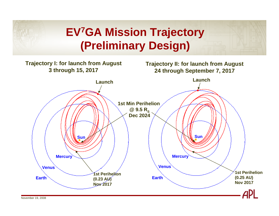# **EV7GA Mission Trajectory (Preliminary Design)**

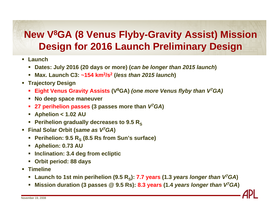#### **New V8GA (8 Venus Flyby-Gravity Assist) Mission Design for 2016 Launch Preliminary Design**

- **Launch**
	- **Dates: July 2016 (20 days or more) (***can be longer than 2015 launch***)**
	- ш **Max. Launch C3: ~154 km2/s2 (***less than 2015 launch***)**
- **Trajectory Design**
	- $\blacksquare$ **Eight Venus Gravity Assists (V8GA)** *(one more Venus flyby than V7GA)*
	- $\mathcal{L}_{\mathcal{A}}$ **No deep space maneuver**
	- $\blacksquare$ **27 perihelion passes (3 passes more than** *V7GA***)**
	- $\mathcal{L}_{\mathcal{A}}$ **Aphelion < 1.02 AU**
	- **Perihelion gradually decreases to 9.5 R<sub>s</sub>**
- **Final Solar Orbit (***same as V7GA***)**
	- ×, **Perihelion: 9.5 RS (8.5 Rs from Sun's surface)**
	- ×. **Aphelion: 0.73 AU**
	- П **Inclination: 3.4 deg from ecliptic**
	- **Orbit period: 88 days**
- **Timeline**
	- $\overline{\phantom{a}}$ Launch to 1st min perihelion (9.5 R<sub>S</sub>): 7.7 years (1.3 *years longer than V*<sup>7</sup>GA)
	- $\mathcal{L}_{\mathcal{A}}$ **Mission duration (3 passes @ 9.5 Rs): 8.3 years (1.4** *years longer than V7GA***)**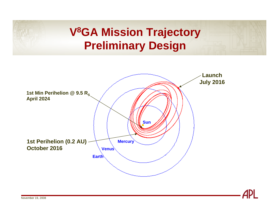# **V8GA Mission Trajectory Preliminary Design**



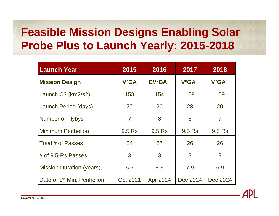# **Feasible Mission Designs Enabling Solar Probe Plus to Launch Yearly: 2015-2018**

| <b>Launch Year</b>                      | 2015              | 2016               | 2017     | 2018                   |
|-----------------------------------------|-------------------|--------------------|----------|------------------------|
| <b>Mission Design</b>                   | V <sup>7</sup> GA | EV <sub>7</sub> GA | $V^8GA$  | <b>V<sub>7</sub>GA</b> |
| Launch C3 (km2/s2)                      | 158               | 154                | 158      | 159                    |
| Launch Period (days)                    | 20                | 20                 | 28       | 20                     |
| <b>Number of Flybys</b>                 | $\overline{7}$    | 8                  | 8        | 7                      |
| <b>Minimum Perihelion</b>               | 9.5 Rs            | 9.5 Rs             | 9.5 Rs   | 9.5 Rs                 |
| Total # of Passes                       | 24                | 27                 | 26       | 26                     |
| # of $9.5$ -Rs Passes                   | 3                 | 3                  | 3        | 3                      |
| <b>Mission Duration (years)</b>         | 6.9               | 8.3                | 7.9      | 6.9                    |
| Date of 1 <sup>st</sup> Min. Perihelion | Oct 2021          | Apr 2024           | Dec 2024 | Dec 2024               |